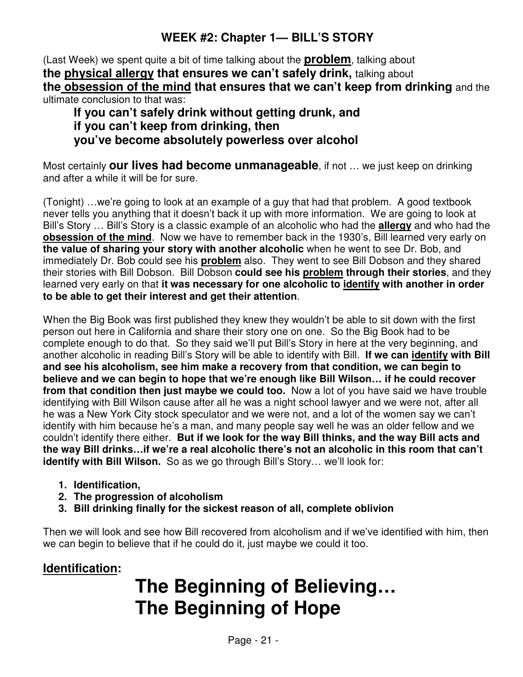(Last Week) we spent quite a bit of time talking about the **problem**, talking about **the physical allergy that ensures we can't safely drink,** talking about **the obsession of the mind that ensures that we can't keep from drinking** and the ultimate conclusion to that was:

**If you can't safely drink without getting drunk, and if you can't keep from drinking, then you've become absolutely powerless over alcohol** 

Most certainly **our lives had become unmanageable**, if not … we just keep on drinking and after a while it will be for sure.

(Tonight) …we're going to look at an example of a guy that had that problem. A good textbook never tells you anything that it doesn't back it up with more information. We are going to look at Bill's Story … Bill's Story is a classic example of an alcoholic who had the **allergy** and who had the **obsession of the mind**. Now we have to remember back in the 1930's, Bill learned very early on **the value of sharing your story with another alcoholic** when he went to see Dr. Bob, and immediately Dr. Bob could see his **problem** also. They went to see Bill Dobson and they shared their stories with Bill Dobson. Bill Dobson **could see his problem through their stories**, and they learned very early on that **it was necessary for one alcoholic to identify with another in order to be able to get their interest and get their attention**.

When the Big Book was first published they knew they wouldn't be able to sit down with the first person out here in California and share their story one on one. So the Big Book had to be complete enough to do that. So they said we'll put Bill's Story in here at the very beginning, and another alcoholic in reading Bill's Story will be able to identify with Bill. **If we can identify with Bill and see his alcoholism, see him make a recovery from that condition, we can begin to believe and we can begin to hope that we're enough like Bill Wilson… if he could recover from that condition then just maybe we could too.** Now a lot of you have said we have trouble identifying with Bill Wilson cause after all he was a night school lawyer and we were not, after all he was a New York City stock speculator and we were not, and a lot of the women say we can't identify with him because he's a man, and many people say well he was an older fellow and we couldn't identify there either. **But if we look for the way Bill thinks, and the way Bill acts and the way Bill drinks…if we're a real alcoholic there's not an alcoholic in this room that can't identify with Bill Wilson.** So as we go through Bill's Story... we'll look for:

- **1. Identification,**
- **2. The progression of alcoholism**
- **3. Bill drinking finally for the sickest reason of all, complete oblivion**

Then we will look and see how Bill recovered from alcoholism and if we've identified with him, then we can begin to believe that if he could do it, just maybe we could it too.

## **Identification:**

# **The Beginning of Believing… The Beginning of Hope**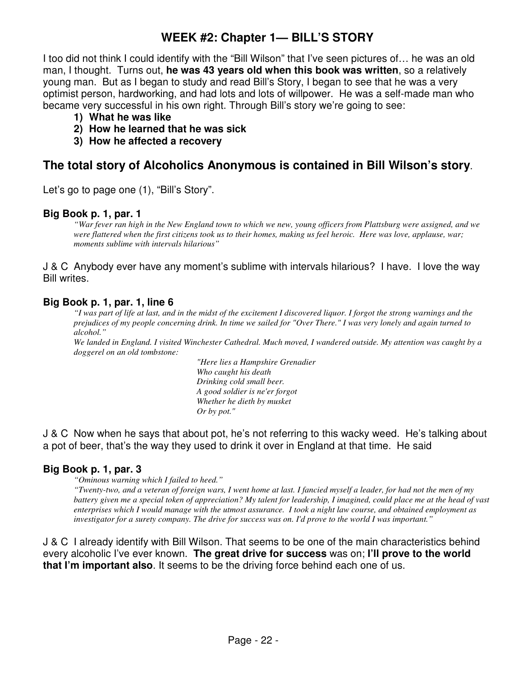I too did not think I could identify with the "Bill Wilson" that I've seen pictures of… he was an old man, I thought. Turns out, **he was 43 years old when this book was written**, so a relatively young man. But as I began to study and read Bill's Story, I began to see that he was a very optimist person, hardworking, and had lots and lots of willpower. He was a self-made man who became very successful in his own right. Through Bill's story we're going to see:

- **1) What he was like**
- **2) How he learned that he was sick**
- **3) How he affected a recovery**

## **The total story of Alcoholics Anonymous is contained in Bill Wilson's story**.

Let's go to page one (1), "Bill's Story".

#### **Big Book p. 1, par. 1**

*"War fever ran high in the New England town to which we new, young officers from Plattsburg were assigned, and we were flattered when the first citizens took us to their homes, making us feel heroic. Here was love, applause, war; moments sublime with intervals hilarious"* 

J & C Anybody ever have any moment's sublime with intervals hilarious? I have. I love the way Bill writes.

#### **Big Book p. 1, par. 1, line 6**

*"I was part of life at last, and in the midst of the excitement I discovered liquor. I forgot the strong warnings and the prejudices of my people concerning drink. In time we sailed for "Over There." I was very lonely and again turned to alcohol."* 

*We landed in England. I visited Winchester Cathedral. Much moved, I wandered outside. My attention was caught by a doggerel on an old tombstone:* 

> *"Here lies a Hampshire Grenadier Who caught his death Drinking cold small beer. A good soldier is ne'er forgot Whether he dieth by musket Or by pot."*

J & C Now when he says that about pot, he's not referring to this wacky weed. He's talking about a pot of beer, that's the way they used to drink it over in England at that time. He said

## **Big Book p. 1, par. 3**

*"Ominous warning which I failed to heed."* 

*"Twenty-two, and a veteran of foreign wars, I went home at last. I fancied myself a leader, for had not the men of my battery given me a special token of appreciation? My talent for leadership, I imagined, could place me at the head of vast enterprises which I would manage with the utmost assurance. I took a night law course, and obtained employment as investigator for a surety company. The drive for success was on. I'd prove to the world I was important."* 

J & C I already identify with Bill Wilson. That seems to be one of the main characteristics behind every alcoholic I've ever known. **The great drive for success** was on; **I'll prove to the world that I'm important also**. It seems to be the driving force behind each one of us.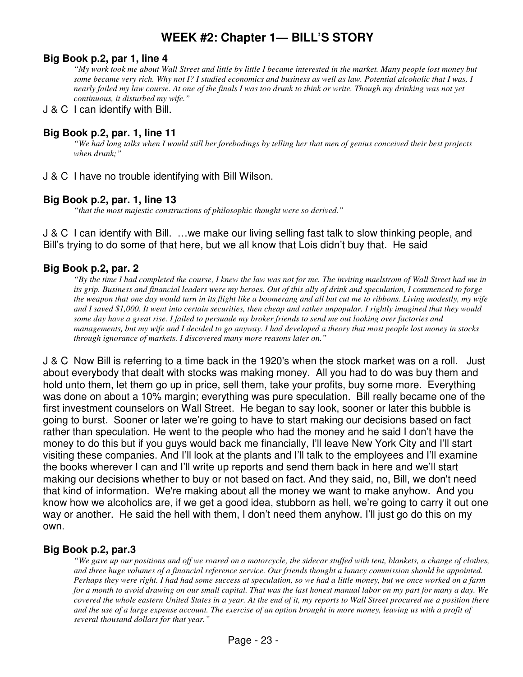#### **Big Book p.2, par 1, line 4**

*"My work took me about Wall Street and little by little I became interested in the market. Many people lost money but some became very rich. Why not I? I studied economics and business as well as law. Potential alcoholic that I was, I nearly failed my law course. At one of the finals I was too drunk to think or write. Though my drinking was not yet continuous, it disturbed my wife."* 

#### J & C I can identify with Bill.

## **Big Book p.2, par. 1, line 11**

*"We had long talks when I would still her forebodings by telling her that men of genius conceived their best projects when drunk;"* 

J & C I have no trouble identifying with Bill Wilson.

#### **Big Book p.2, par. 1, line 13**

*"that the most majestic constructions of philosophic thought were so derived."* 

J & C I can identify with Bill. …we make our living selling fast talk to slow thinking people, and Bill's trying to do some of that here, but we all know that Lois didn't buy that. He said

#### **Big Book p.2, par. 2**

*"By the time I had completed the course, I knew the law was not for me. The inviting maelstrom of Wall Street had me in its grip. Business and financial leaders were my heroes. Out of this ally of drink and speculation, I commenced to forge the weapon that one day would turn in its flight like a boomerang and all but cut me to ribbons. Living modestly, my wife and I saved \$1,000. It went into certain securities, then cheap and rather unpopular. I rightly imagined that they would some day have a great rise. I failed to persuade my broker friends to send me out looking over factories and managements, but my wife and I decided to go anyway. I had developed a theory that most people lost money in stocks through ignorance of markets. I discovered many more reasons later on."* 

J & C Now Bill is referring to a time back in the 1920's when the stock market was on a roll. Just about everybody that dealt with stocks was making money. All you had to do was buy them and hold unto them, let them go up in price, sell them, take your profits, buy some more. Everything was done on about a 10% margin; everything was pure speculation. Bill really became one of the first investment counselors on Wall Street. He began to say look, sooner or later this bubble is going to burst. Sooner or later we're going to have to start making our decisions based on fact rather than speculation. He went to the people who had the money and he said I don't have the money to do this but if you guys would back me financially, I'll leave New York City and I'll start visiting these companies. And I'll look at the plants and I'll talk to the employees and I'll examine the books wherever I can and I'll write up reports and send them back in here and we'll start making our decisions whether to buy or not based on fact. And they said, no, Bill, we don't need that kind of information. We're making about all the money we want to make anyhow. And you know how we alcoholics are, if we get a good idea, stubborn as hell, we're going to carry it out one way or another. He said the hell with them, I don't need them anyhow. I'll just go do this on my own.

## **Big Book p.2, par.3**

*"We gave up our positions and off we roared on a motorcycle, the sidecar stuffed with tent, blankets, a change of clothes, and three huge volumes of a financial reference service. Our friends thought a lunacy commission should be appointed. Perhaps they were right. I had had some success at speculation, so we had a little money, but we once worked on a farm for a month to avoid drawing on our small capital. That was the last honest manual labor on my part for many a day. We covered the whole eastern United States in a year. At the end of it, my reports to Wall Street procured me a position there and the use of a large expense account. The exercise of an option brought in more money, leaving us with a profit of several thousand dollars for that year."*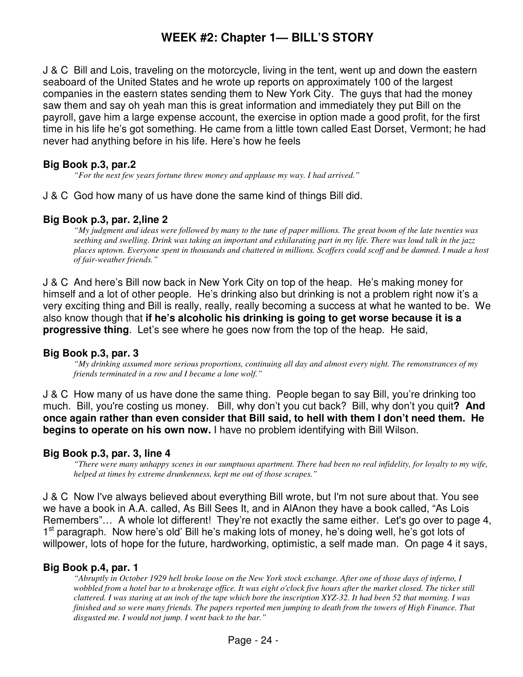J & C Bill and Lois, traveling on the motorcycle, living in the tent, went up and down the eastern seaboard of the United States and he wrote up reports on approximately 100 of the largest companies in the eastern states sending them to New York City. The guys that had the money saw them and say oh yeah man this is great information and immediately they put Bill on the payroll, gave him a large expense account, the exercise in option made a good profit, for the first time in his life he's got something. He came from a little town called East Dorset, Vermont; he had never had anything before in his life. Here's how he feels

## **Big Book p.3, par.2**

*"For the next few years fortune threw money and applause my way. I had arrived."* 

J & C God how many of us have done the same kind of things Bill did.

#### **Big Book p.3, par. 2,line 2**

*"My judgment and ideas were followed by many to the tune of paper millions. The great boom of the late twenties was seething and swelling. Drink was taking an important and exhilarating part in my life. There was loud talk in the jazz places uptown. Everyone spent in thousands and chattered in millions. Scoffers could scoff and be damned. I made a host of fair-weather friends."* 

J & C And here's Bill now back in New York City on top of the heap. He's making money for himself and a lot of other people. He's drinking also but drinking is not a problem right now it's a very exciting thing and Bill is really, really, really becoming a success at what he wanted to be. We also know though that **if he's alcoholic his drinking is going to get worse because it is a progressive thing**. Let's see where he goes now from the top of the heap. He said,

#### **Big Book p.3, par. 3**

*"My drinking assumed more serious proportions, continuing all day and almost every night. The remonstrances of my friends terminated in a row and I became a lone wolf."* 

J & C How many of us have done the same thing. People began to say Bill, you're drinking too much. Bill, you're costing us money. Bill, why don't you cut back? Bill, why don't you quit**? And once again rather than even consider that Bill said, to hell with them I don't need them. He begins to operate on his own now.** I have no problem identifying with Bill Wilson.

#### **Big Book p.3, par. 3, line 4**

*"There were many unhappy scenes in our sumptuous apartment. There had been no real infidelity, for loyalty to my wife, helped at times by extreme drunkenness, kept me out of those scrapes."* 

J & C Now I've always believed about everything Bill wrote, but I'm not sure about that. You see we have a book in A.A. called, As Bill Sees It, and in AlAnon they have a book called, "As Lois Remembers"… A whole lot different! They're not exactly the same either. Let's go over to page 4, 1<sup>st</sup> paragraph. Now here's old' Bill he's making lots of money, he's doing well, he's got lots of willpower, lots of hope for the future, hardworking, optimistic, a self made man. On page 4 it says,

#### **Big Book p.4, par. 1**

*"Abruptly in October 1929 hell broke loose on the New York stock exchange. After one of those days of inferno, I wobbled from a hotel bar to a brokerage office. It was eight o'clock five hours after the market closed. The ticker still clattered. I was staring at an inch of the tape which bore the inscription XYZ-32. It had been 52 that morning. I was finished and so were many friends. The papers reported men jumping to death from the towers of High Finance. That disgusted me. I would not jump. I went back to the bar."*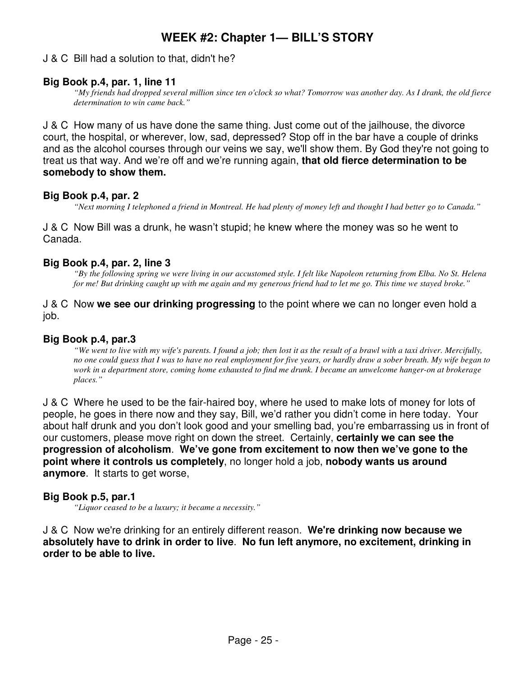## J & C Bill had a solution to that, didn't he?

#### **Big Book p.4, par. 1, line 11**

*"My friends had dropped several million since ten o'clock so what? Tomorrow was another day. As I drank, the old fierce determination to win came back."* 

J & C How many of us have done the same thing. Just come out of the jailhouse, the divorce court, the hospital, or wherever, low, sad, depressed? Stop off in the bar have a couple of drinks and as the alcohol courses through our veins we say, we'll show them. By God they're not going to treat us that way. And we're off and we're running again, **that old fierce determination to be somebody to show them.** 

#### **Big Book p.4, par. 2**

*"Next morning I telephoned a friend in Montreal. He had plenty of money left and thought I had better go to Canada."* 

J & C Now Bill was a drunk, he wasn't stupid; he knew where the money was so he went to Canada.

#### **Big Book p.4, par. 2, line 3**

*"By the following spring we were living in our accustomed style. I felt like Napoleon returning from Elba. No St. Helena for me! But drinking caught up with me again and my generous friend had to let me go. This time we stayed broke."* 

#### J & C Now **we see our drinking progressing** to the point where we can no longer even hold a job.

#### **Big Book p.4, par.3**

*"We went to live with my wife's parents. I found a job; then lost it as the result of a brawl with a taxi driver. Mercifully, no one could guess that I was to have no real employment for five years, or hardly draw a sober breath. My wife began to work in a department store, coming home exhausted to find me drunk. I became an unwelcome hanger-on at brokerage places."* 

J & C Where he used to be the fair-haired boy, where he used to make lots of money for lots of people, he goes in there now and they say, Bill, we'd rather you didn't come in here today. Your about half drunk and you don't look good and your smelling bad, you're embarrassing us in front of our customers, please move right on down the street. Certainly, **certainly we can see the progression of alcoholism**. **We've gone from excitement to now then we've gone to the point where it controls us completely**, no longer hold a job, **nobody wants us around anymore**. It starts to get worse,

#### **Big Book p.5, par.1**

*"Liquor ceased to be a luxury; it became a necessity."* 

J & C Now we're drinking for an entirely different reason. **We're drinking now because we absolutely have to drink in order to live**. **No fun left anymore, no excitement, drinking in order to be able to live.**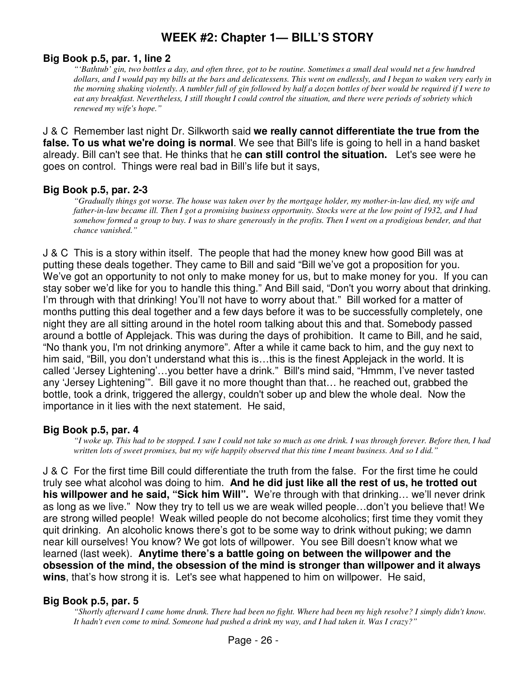## **Big Book p.5, par. 1, line 2**

*"'Bathtub' gin, two bottles a day, and often three, got to be routine. Sometimes a small deal would net a few hundred dollars, and I would pay my bills at the bars and delicatessens. This went on endlessly, and I began to waken very early in the morning shaking violently. A tumbler full of gin followed by half a dozen bottles of beer would be required if I were to eat any breakfast. Nevertheless, I still thought I could control the situation, and there were periods of sobriety which renewed my wife's hope."* 

J & C Remember last night Dr. Silkworth said **we really cannot differentiate the true from the false. To us what we're doing is normal**. We see that Bill's life is going to hell in a hand basket already. Bill can't see that. He thinks that he **can still control the situation.** Let's see were he goes on control. Things were real bad in Bill's life but it says,

## **Big Book p.5, par. 2-3**

*"Gradually things got worse. The house was taken over by the mortgage holder, my mother-in-law died, my wife and father-in-law became ill. Then I got a promising business opportunity. Stocks were at the low point of 1932, and I had somehow formed a group to buy. I was to share generously in the profits. Then I went on a prodigious bender, and that chance vanished."* 

J & C This is a story within itself. The people that had the money knew how good Bill was at putting these deals together. They came to Bill and said "Bill we've got a proposition for you. We've got an opportunity to not only to make money for us, but to make money for you. If you can stay sober we'd like for you to handle this thing." And Bill said, "Don't you worry about that drinking. I'm through with that drinking! You'll not have to worry about that." Bill worked for a matter of months putting this deal together and a few days before it was to be successfully completely, one night they are all sitting around in the hotel room talking about this and that. Somebody passed around a bottle of Applejack. This was during the days of prohibition. It came to Bill, and he said, "No thank you, I'm not drinking anymore". After a while it came back to him, and the guy next to him said, "Bill, you don't understand what this is…this is the finest Applejack in the world. It is called 'Jersey Lightening'…you better have a drink." Bill's mind said, "Hmmm, I've never tasted any 'Jersey Lightening'". Bill gave it no more thought than that… he reached out, grabbed the bottle, took a drink, triggered the allergy, couldn't sober up and blew the whole deal. Now the importance in it lies with the next statement. He said,

## **Big Book p.5, par. 4**

*"I woke up. This had to be stopped. I saw I could not take so much as one drink. I was through forever. Before then, I had written lots of sweet promises, but my wife happily observed that this time I meant business. And so I did."* 

J & C For the first time Bill could differentiate the truth from the false. For the first time he could truly see what alcohol was doing to him. **And he did just like all the rest of us, he trotted out his willpower and he said, "Sick him Will".** We're through with that drinking… we'll never drink as long as we live." Now they try to tell us we are weak willed people…don't you believe that! We are strong willed people! Weak willed people do not become alcoholics; first time they vomit they quit drinking. An alcoholic knows there's got to be some way to drink without puking; we damn near kill ourselves! You know? We got lots of willpower. You see Bill doesn't know what we learned (last week). **Anytime there's a battle going on between the willpower and the obsession of the mind, the obsession of the mind is stronger than willpower and it always wins**, that's how strong it is. Let's see what happened to him on willpower. He said,

## **Big Book p.5, par. 5**

*"Shortly afterward I came home drunk. There had been no fight. Where had been my high resolve? I simply didn't know. It hadn't even come to mind. Someone had pushed a drink my way, and I had taken it. Was I crazy?"*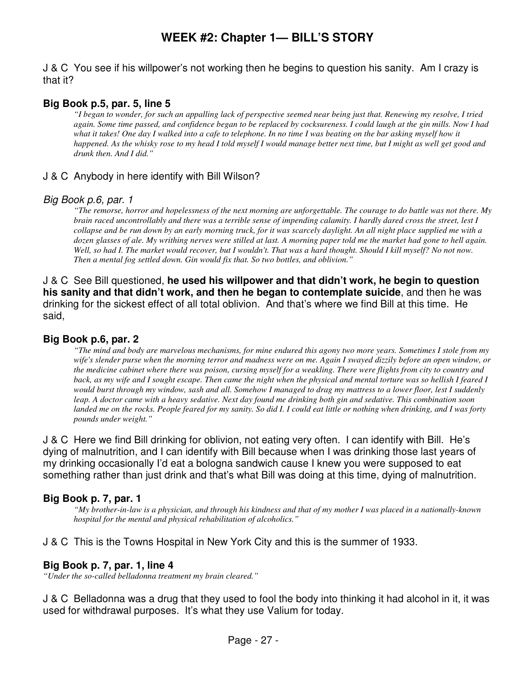J & C You see if his willpower's not working then he begins to question his sanity. Am I crazy is that it?

## **Big Book p.5, par. 5, line 5**

*"I began to wonder, for such an appalling lack of perspective seemed near being just that. Renewing my resolve, I tried again. Some time passed, and confidence began to be replaced by cocksureness. I could laugh at the gin mills. Now I had what it takes! One day I walked into a cafe to telephone. In no time I was beating on the bar asking myself how it happened. As the whisky rose to my head I told myself I would manage better next time, but I might as well get good and drunk then. And I did."* 

## J & C Anybody in here identify with Bill Wilson?

#### Big Book p.6, par. 1

*"The remorse, horror and hopelessness of the next morning are unforgettable. The courage to do battle was not there. My brain raced uncontrollably and there was a terrible sense of impending calamity. I hardly dared cross the street, lest I collapse and be run down by an early morning truck, for it was scarcely daylight. An all night place supplied me with a dozen glasses of ale. My writhing nerves were stilled at last. A morning paper told me the market had gone to hell again.*  Well, so had I. The market would recover, but I wouldn't. That was a hard thought. Should I kill myself? No not now. *Then a mental fog settled down. Gin would fix that. So two bottles, and oblivion."* 

J & C See Bill questioned, **he used his willpower and that didn't work, he begin to question his sanity and that didn't work, and then he began to contemplate suicide**, and then he was drinking for the sickest effect of all total oblivion. And that's where we find Bill at this time. He said,

## **Big Book p.6, par. 2**

*"The mind and body are marvelous mechanisms, for mine endured this agony two more years. Sometimes I stole from my wife's slender purse when the morning terror and madness were on me. Again I swayed dizzily before an open window, or the medicine cabinet where there was poison, cursing myself for a weakling. There were flights from city to country and back, as my wife and I sought escape. Then came the night when the physical and mental torture was so hellish I feared I would burst through my window, sash and all. Somehow I managed to drag my mattress to a lower floor, lest I suddenly leap. A doctor came with a heavy sedative. Next day found me drinking both gin and sedative. This combination soon*  landed me on the rocks. People feared for my sanity. So did I. I could eat little or nothing when drinking, and I was forty *pounds under weight."* 

J & C Here we find Bill drinking for oblivion, not eating very often. I can identify with Bill. He's dying of malnutrition, and I can identify with Bill because when I was drinking those last years of my drinking occasionally I'd eat a bologna sandwich cause I knew you were supposed to eat something rather than just drink and that's what Bill was doing at this time, dying of malnutrition.

## **Big Book p. 7, par. 1**

*"My brother-in-law is a physician, and through his kindness and that of my mother I was placed in a nationally-known hospital for the mental and physical rehabilitation of alcoholics."* 

J & C This is the Towns Hospital in New York City and this is the summer of 1933.

#### **Big Book p. 7, par. 1, line 4**

*"Under the so-called belladonna treatment my brain cleared."* 

J & C Belladonna was a drug that they used to fool the body into thinking it had alcohol in it, it was used for withdrawal purposes. It's what they use Valium for today.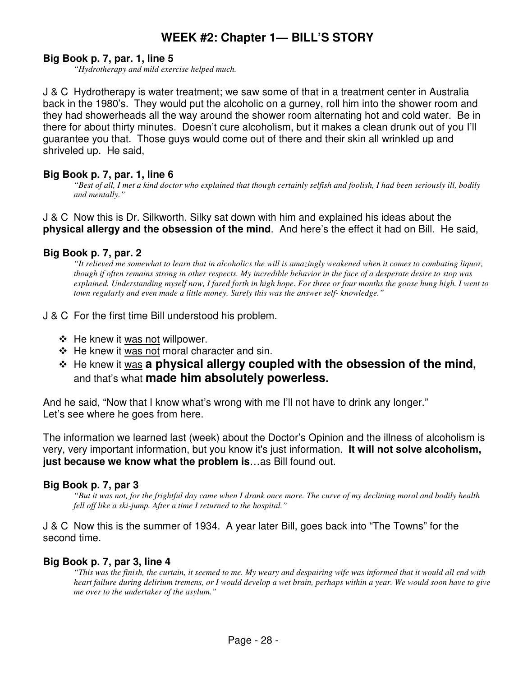## **Big Book p. 7, par. 1, line 5**

*"Hydrotherapy and mild exercise helped much.* 

J & C Hydrotherapy is water treatment; we saw some of that in a treatment center in Australia back in the 1980's. They would put the alcoholic on a gurney, roll him into the shower room and they had showerheads all the way around the shower room alternating hot and cold water. Be in there for about thirty minutes. Doesn't cure alcoholism, but it makes a clean drunk out of you I'll guarantee you that. Those guys would come out of there and their skin all wrinkled up and shriveled up. He said,

## **Big Book p. 7, par. 1, line 6**

*"Best of all, I met a kind doctor who explained that though certainly selfish and foolish, I had been seriously ill, bodily and mentally."* 

J & C Now this is Dr. Silkworth. Silky sat down with him and explained his ideas about the **physical allergy and the obsession of the mind**. And here's the effect it had on Bill. He said,

#### **Big Book p. 7, par. 2**

*"It relieved me somewhat to learn that in alcoholics the will is amazingly weakened when it comes to combating liquor, though if often remains strong in other respects. My incredible behavior in the face of a desperate desire to stop was explained. Understanding myself now, I fared forth in high hope. For three or four months the goose hung high. I went to town regularly and even made a little money. Surely this was the answer self- knowledge."* 

J & C For the first time Bill understood his problem.

- $\div$  He knew it was not willpower.
- $\div$  He knew it was not moral character and sin.
- He knew it was **a physical allergy coupled with the obsession of the mind,**  and that's what **made him absolutely powerless.**

And he said, "Now that I know what's wrong with me I'll not have to drink any longer." Let's see where he goes from here.

The information we learned last (week) about the Doctor's Opinion and the illness of alcoholism is very, very important information, but you know it's just information. **It will not solve alcoholism, just because we know what the problem is**…as Bill found out.

#### **Big Book p. 7, par 3**

*"But it was not, for the frightful day came when I drank once more. The curve of my declining moral and bodily health fell off like a ski-jump. After a time I returned to the hospital."* 

J & C Now this is the summer of 1934. A year later Bill, goes back into "The Towns" for the second time.

#### **Big Book p. 7, par 3, line 4**

*"This was the finish, the curtain, it seemed to me. My weary and despairing wife was informed that it would all end with heart failure during delirium tremens, or I would develop a wet brain, perhaps within a year. We would soon have to give me over to the undertaker of the asylum."*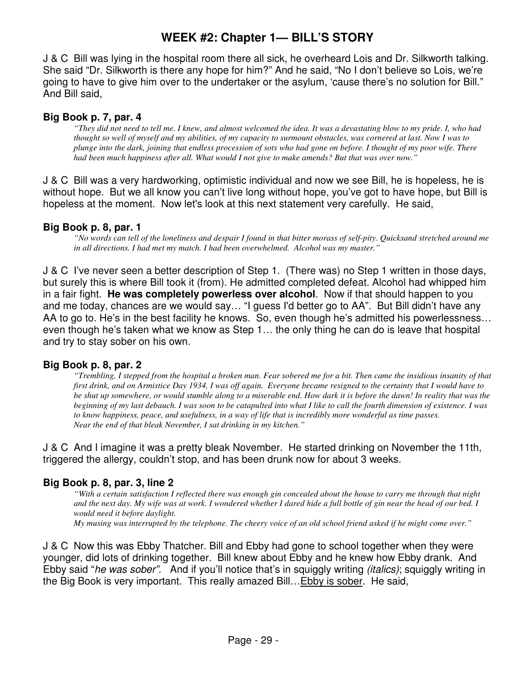J & C Bill was lying in the hospital room there all sick, he overheard Lois and Dr. Silkworth talking. She said "Dr. Silkworth is there any hope for him?" And he said, "No I don't believe so Lois, we're going to have to give him over to the undertaker or the asylum, 'cause there's no solution for Bill." And Bill said,

## **Big Book p. 7, par. 4**

*"They did not need to tell me. I knew, and almost welcomed the idea. It was a devastating blow to my pride. I, who had thought so well of myself and my abilities, of my capacity to surmount obstacles, was cornered at last. Now I was to plunge into the dark, joining that endless procession of sots who had gone on before. I thought of my poor wife. There had been much happiness after all. What would I not give to make amends? But that was over now."* 

J & C Bill was a very hardworking, optimistic individual and now we see Bill, he is hopeless, he is without hope. But we all know you can't live long without hope, you've got to have hope, but Bill is hopeless at the moment. Now let's look at this next statement very carefully. He said,

## **Big Book p. 8, par. 1**

*"No words can tell of the loneliness and despair I found in that bitter morass of self-pity. Quicksand stretched around me in all directions. I had met my match. I had been overwhelmed. Alcohol was my master."* 

J & C I've never seen a better description of Step 1. (There was) no Step 1 written in those days, but surely this is where Bill took it (from). He admitted completed defeat. Alcohol had whipped him in a fair fight. **He was completely powerless over alcohol**. Now if that should happen to you and me today, chances are we would say… "I guess I'd better go to AA". But Bill didn't have any AA to go to. He's in the best facility he knows. So, even though he's admitted his powerlessness… even though he's taken what we know as Step 1… the only thing he can do is leave that hospital and try to stay sober on his own.

## **Big Book p. 8, par. 2**

*"Trembling, I stepped from the hospital a broken man. Fear sobered me for a bit. Then came the insidious insanity of that first drink, and on Armistice Day 1934, I was off again. Everyone became resigned to the certainty that I would have to be shut up somewhere, or would stumble along to a miserable end. How dark it is before the dawn! In reality that was the beginning of my last debauch. I was soon to be catapulted into what I like to call the fourth dimension of existence. I was to know happiness, peace, and usefulness, in a way of life that is incredibly more wonderful as time passes. Near the end of that bleak November, I sat drinking in my kitchen."* 

J & C And I imagine it was a pretty bleak November. He started drinking on November the 11th, triggered the allergy, couldn't stop, and has been drunk now for about 3 weeks.

## **Big Book p. 8, par. 3, line 2**

*"With a certain satisfaction I reflected there was enough gin concealed about the house to carry me through that night and the next day. My wife was at work. I wondered whether I dared hide a full bottle of gin near the head of our bed. I would need it before daylight. My musing was interrupted by the telephone. The cheery voice of an old school friend asked if he might come over."* 

J & C Now this was Ebby Thatcher. Bill and Ebby had gone to school together when they were younger, did lots of drinking together. Bill knew about Ebby and he knew how Ebby drank. And Ebby said "he was sober". And if you'll notice that's in squiggly writing *(italics)*; squiggly writing in the Big Book is very important. This really amazed Bill…Ebby is sober. He said,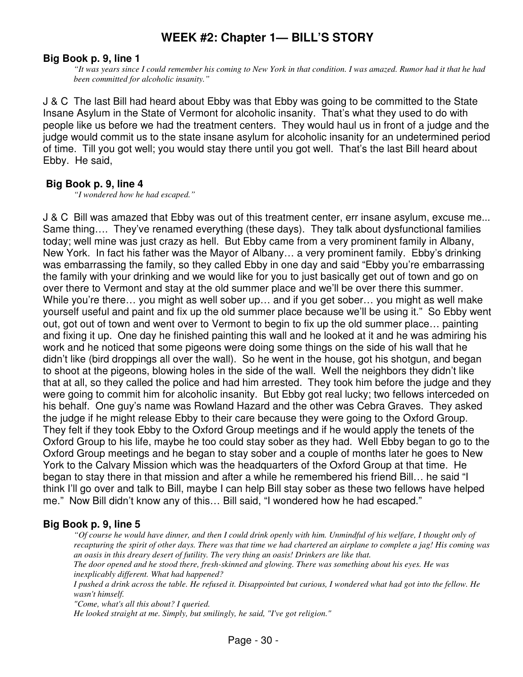## **Big Book p. 9, line 1**

*"It was years since I could remember his coming to New York in that condition. I was amazed. Rumor had it that he had been committed for alcoholic insanity."* 

J & C The last Bill had heard about Ebby was that Ebby was going to be committed to the State Insane Asylum in the State of Vermont for alcoholic insanity. That's what they used to do with people like us before we had the treatment centers. They would haul us in front of a judge and the judge would commit us to the state insane asylum for alcoholic insanity for an undetermined period of time. Till you got well; you would stay there until you got well. That's the last Bill heard about Ebby. He said,

#### **Big Book p. 9, line 4**

*"I wondered how he had escaped."* 

J & C Bill was amazed that Ebby was out of this treatment center, err insane asylum, excuse me... Same thing…. They've renamed everything (these days). They talk about dysfunctional families today; well mine was just crazy as hell. But Ebby came from a very prominent family in Albany, New York. In fact his father was the Mayor of Albany… a very prominent family. Ebby's drinking was embarrassing the family, so they called Ebby in one day and said "Ebby you're embarrassing the family with your drinking and we would like for you to just basically get out of town and go on over there to Vermont and stay at the old summer place and we'll be over there this summer. While you're there... you might as well sober up... and if you get sober... you might as well make yourself useful and paint and fix up the old summer place because we'll be using it." So Ebby went out, got out of town and went over to Vermont to begin to fix up the old summer place… painting and fixing it up. One day he finished painting this wall and he looked at it and he was admiring his work and he noticed that some pigeons were doing some things on the side of his wall that he didn't like (bird droppings all over the wall). So he went in the house, got his shotgun, and began to shoot at the pigeons, blowing holes in the side of the wall. Well the neighbors they didn't like that at all, so they called the police and had him arrested. They took him before the judge and they were going to commit him for alcoholic insanity. But Ebby got real lucky; two fellows interceded on his behalf. One guy's name was Rowland Hazard and the other was Cebra Graves. They asked the judge if he might release Ebby to their care because they were going to the Oxford Group. They felt if they took Ebby to the Oxford Group meetings and if he would apply the tenets of the Oxford Group to his life, maybe he too could stay sober as they had. Well Ebby began to go to the Oxford Group meetings and he began to stay sober and a couple of months later he goes to New York to the Calvary Mission which was the headquarters of the Oxford Group at that time. He began to stay there in that mission and after a while he remembered his friend Bill… he said "I think I'll go over and talk to Bill, maybe I can help Bill stay sober as these two fellows have helped me." Now Bill didn't know any of this… Bill said, "I wondered how he had escaped."

## **Big Book p. 9, line 5**

*"Of course he would have dinner, and then I could drink openly with him. Unmindful of his welfare, I thought only of recapturing the spirit of other days. There was that time we had chartered an airplane to complete a jag! His coming was an oasis in this dreary desert of futility. The very thing an oasis! Drinkers are like that.* 

*The door opened and he stood there, fresh-skinned and glowing. There was something about his eyes. He was inexplicably different. What had happened?* 

*I pushed a drink across the table. He refused it. Disappointed but curious, I wondered what had got into the fellow. He wasn't himself.* 

*"Come, what's all this about? I queried.* 

*He looked straight at me. Simply, but smilingly, he said, "I've got religion."*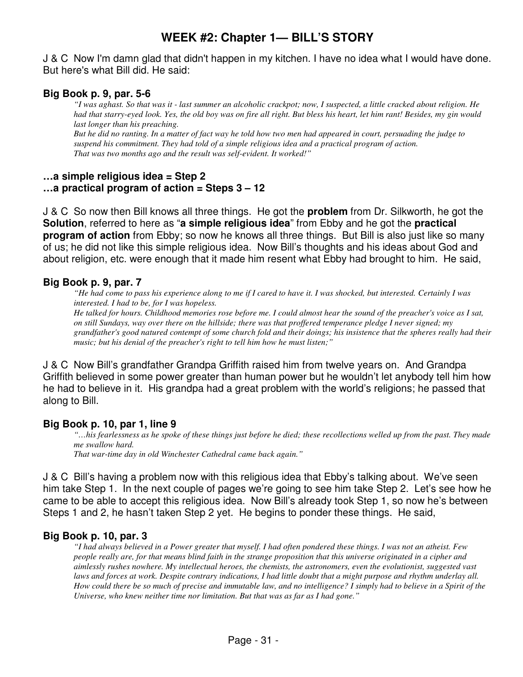J & C Now I'm damn glad that didn't happen in my kitchen. I have no idea what I would have done. But here's what Bill did. He said:

## **Big Book p. 9, par. 5-6**

*"I was aghast. So that was it - last summer an alcoholic crackpot; now, I suspected, a little cracked about religion. He had that starry-eyed look. Yes, the old boy was on fire all right. But bless his heart, let him rant! Besides, my gin would last longer than his preaching.* 

*But he did no ranting. In a matter of fact way he told how two men had appeared in court, persuading the judge to suspend his commitment. They had told of a simple religious idea and a practical program of action. That was two months ago and the result was self-evident. It worked!"* 

## **…a simple religious idea = Step 2 …a practical program of action = Steps 3 – 12**

J & C So now then Bill knows all three things. He got the **problem** from Dr. Silkworth, he got the **Solution**, referred to here as "**a simple religious idea**" from Ebby and he got the **practical program of action** from Ebby; so now he knows all three things. But Bill is also just like so many of us; he did not like this simple religious idea. Now Bill's thoughts and his ideas about God and about religion, etc. were enough that it made him resent what Ebby had brought to him. He said,

## **Big Book p. 9, par. 7**

*"He had come to pass his experience along to me if I cared to have it. I was shocked, but interested. Certainly I was interested. I had to be, for I was hopeless.* 

*He talked for hours. Childhood memories rose before me. I could almost hear the sound of the preacher's voice as I sat, on still Sundays, way over there on the hillside; there was that proffered temperance pledge I never signed; my grandfather's good natured contempt of some church fold and their doings; his insistence that the spheres really had their music; but his denial of the preacher's right to tell him how he must listen;"* 

J & C Now Bill's grandfather Grandpa Griffith raised him from twelve years on. And Grandpa Griffith believed in some power greater than human power but he wouldn't let anybody tell him how he had to believe in it. His grandpa had a great problem with the world's religions; he passed that along to Bill.

## **Big Book p. 10, par 1, line 9**

*"…his fearlessness as he spoke of these things just before he died; these recollections welled up from the past. They made me swallow hard.* 

*That war-time day in old Winchester Cathedral came back again."* 

J & C Bill's having a problem now with this religious idea that Ebby's talking about. We've seen him take Step 1. In the next couple of pages we're going to see him take Step 2. Let's see how he came to be able to accept this religious idea. Now Bill's already took Step 1, so now he's between Steps 1 and 2, he hasn't taken Step 2 yet. He begins to ponder these things. He said,

## **Big Book p. 10, par. 3**

*"I had always believed in a Power greater that myself. I had often pondered these things. I was not an atheist. Few people really are, for that means blind faith in the strange proposition that this universe originated in a cipher and aimlessly rushes nowhere. My intellectual heroes, the chemists, the astronomers, even the evolutionist, suggested vast laws and forces at work. Despite contrary indications, I had little doubt that a might purpose and rhythm underlay all. How could there be so much of precise and immutable law, and no intelligence? I simply had to believe in a Spirit of the Universe, who knew neither time nor limitation. But that was as far as I had gone."*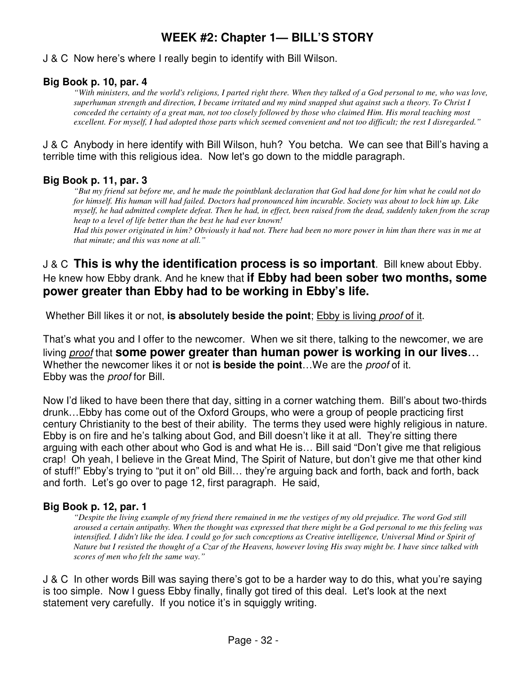## J & C Now here's where I really begin to identify with Bill Wilson.

## **Big Book p. 10, par. 4**

*"With ministers, and the world's religions, I parted right there. When they talked of a God personal to me, who was love, superhuman strength and direction, I became irritated and my mind snapped shut against such a theory. To Christ I conceded the certainty of a great man, not too closely followed by those who claimed Him. His moral teaching most excellent. For myself, I had adopted those parts which seemed convenient and not too difficult; the rest I disregarded."* 

J & C Anybody in here identify with Bill Wilson, huh? You betcha. We can see that Bill's having a terrible time with this religious idea. Now let's go down to the middle paragraph.

## **Big Book p. 11, par. 3**

*"But my friend sat before me, and he made the pointblank declaration that God had done for him what he could not do for himself. His human will had failed. Doctors had pronounced him incurable. Society was about to lock him up. Like myself, he had admitted complete defeat. Then he had, in effect, been raised from the dead, suddenly taken from the scrap heap to a level of life better than the best he had ever known!* 

*Had this power originated in him? Obviously it had not. There had been no more power in him than there was in me at that minute; and this was none at all."* 

## J & C **This is why the identification process is so important**. Bill knew about Ebby. He knew how Ebby drank. And he knew that **if Ebby had been sober two months, some power greater than Ebby had to be working in Ebby's life.**

Whether Bill likes it or not, **is absolutely beside the point**; Ebby is living proof of it.

That's what you and I offer to the newcomer. When we sit there, talking to the newcomer, we are living proof that **some power greater than human power is working in our lives**… Whether the newcomer likes it or not **is beside the point**…We are the proof of it. Ebby was the proof for Bill.

Now I'd liked to have been there that day, sitting in a corner watching them. Bill's about two-thirds drunk…Ebby has come out of the Oxford Groups, who were a group of people practicing first century Christianity to the best of their ability. The terms they used were highly religious in nature. Ebby is on fire and he's talking about God, and Bill doesn't like it at all. They're sitting there arguing with each other about who God is and what He is… Bill said "Don't give me that religious crap! Oh yeah, I believe in the Great Mind, The Spirit of Nature, but don't give me that other kind of stuff!" Ebby's trying to "put it on" old Bill… they're arguing back and forth, back and forth, back and forth. Let's go over to page 12, first paragraph. He said,

## **Big Book p. 12, par. 1**

*"Despite the living example of my friend there remained in me the vestiges of my old prejudice. The word God still aroused a certain antipathy. When the thought was expressed that there might be a God personal to me this feeling was intensified. I didn't like the idea. I could go for such conceptions as Creative intelligence, Universal Mind or Spirit of Nature but I resisted the thought of a Czar of the Heavens, however loving His sway might be. I have since talked with scores of men who felt the same way."* 

J & C In other words Bill was saying there's got to be a harder way to do this, what you're saying is too simple. Now I guess Ebby finally, finally got tired of this deal. Let's look at the next statement very carefully. If you notice it's in squiggly writing.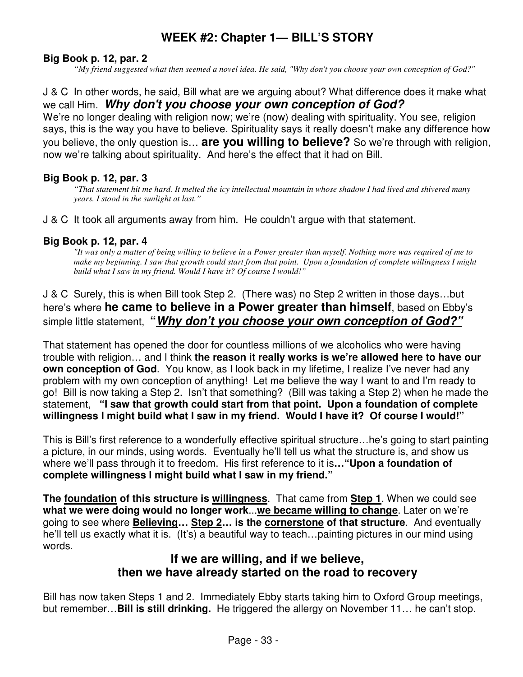## **Big Book p. 12, par. 2**

*"My friend suggested what then seemed a novel idea. He said, "Why don't you choose your own conception of God?"* 

## J & C In other words, he said, Bill what are we arguing about? What difference does it make what we call Him. **Why don't you choose your own conception of God?**

We're no longer dealing with religion now; we're (now) dealing with spirituality. You see, religion says, this is the way you have to believe. Spirituality says it really doesn't make any difference how you believe, the only question is… **are you willing to believe?** So we're through with religion, now we're talking about spirituality. And here's the effect that it had on Bill.

## **Big Book p. 12, par. 3**

*"That statement hit me hard. It melted the icy intellectual mountain in whose shadow I had lived and shivered many years. I stood in the sunlight at last."* 

J & C It took all arguments away from him. He couldn't argue with that statement.

## **Big Book p. 12, par. 4**

*"It was only a matter of being willing to believe in a Power greater than myself. Nothing more was required of me to make my beginning. I saw that growth could start from that point. Upon a foundation of complete willingness I might build what I saw in my friend. Would I have it? Of course I would!"* 

J & C Surely, this is when Bill took Step 2. (There was) no Step 2 written in those days…but here's where **he came to believe in a Power greater than himself**, based on Ebby's simple little statement, **"Why don't you choose your own conception of God?"**

That statement has opened the door for countless millions of we alcoholics who were having trouble with religion… and I think **the reason it really works is we're allowed here to have our own conception of God.** You know, as I look back in my lifetime, I realize I've never had any problem with my own conception of anything! Let me believe the way I want to and I'm ready to go! Bill is now taking a Step 2. Isn't that something? (Bill was taking a Step 2) when he made the statement, **"I saw that growth could start from that point. Upon a foundation of complete willingness I might build what I saw in my friend. Would I have it? Of course I would!"**

This is Bill's first reference to a wonderfully effective spiritual structure…he's going to start painting a picture, in our minds, using words. Eventually he'll tell us what the structure is, and show us where we'll pass through it to freedom. His first reference to it is**…"Upon a foundation of complete willingness I might build what I saw in my friend."**

**The foundation of this structure is willingness**. That came from **Step 1**. When we could see **what we were doing would no longer work**...**we became willing to change**. Later on we're going to see where **Believing… Step 2… is the cornerstone of that structure**. And eventually he'll tell us exactly what it is. (It's) a beautiful way to teach... painting pictures in our mind using words.

## **If we are willing, and if we believe, then we have already started on the road to recovery**

Bill has now taken Steps 1 and 2. Immediately Ebby starts taking him to Oxford Group meetings, but remember…**Bill is still drinking.** He triggered the allergy on November 11… he can't stop.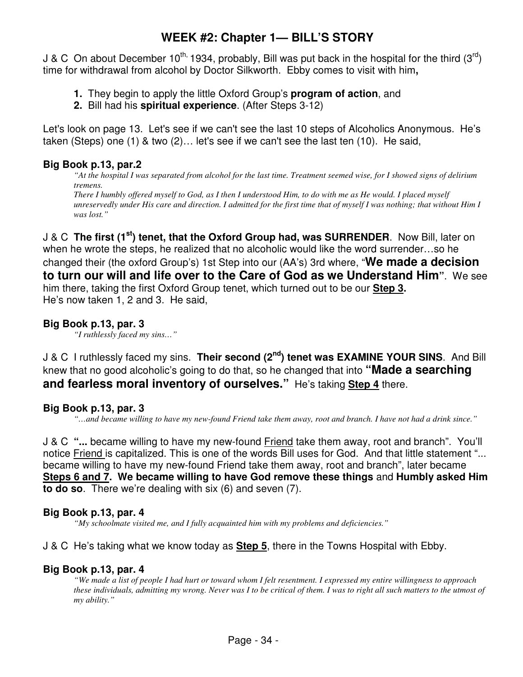J & C On about December 10<sup>th,</sup> 1934, probably, Bill was put back in the hospital for the third (3<sup>rd</sup>) time for withdrawal from alcohol by Doctor Silkworth. Ebby comes to visit with him**,** 

- **1.** They begin to apply the little Oxford Group's **program of action**, and
- **2.** Bill had his **spiritual experience**. (After Steps 3-12)

Let's look on page 13. Let's see if we can't see the last 10 steps of Alcoholics Anonymous. He's taken (Steps) one (1) & two (2)… let's see if we can't see the last ten (10). He said,

## **Big Book p.13, par.2**

*"At the hospital I was separated from alcohol for the last time. Treatment seemed wise, for I showed signs of delirium tremens. There I humbly offered myself to God, as I then I understood Him, to do with me as He would. I placed myself unreservedly under His care and direction. I admitted for the first time that of myself I was nothing; that without Him I was lost."* 

J & C **The first (1st) tenet, that the Oxford Group had, was SURRENDER**. Now Bill, later on when he wrote the steps, he realized that no alcoholic would like the word surrender…so he changed their (the oxford Group's) 1st Step into our (AA's) 3rd where, "**We made a decision to turn our will and life over to the Care of God as we Understand Him"**. We see him there, taking the first Oxford Group tenet, which turned out to be our **Step 3.** He's now taken 1, 2 and 3. He said,

## **Big Book p.13, par. 3**

*"I ruthlessly faced my sins…"* 

J & C I ruthlessly faced my sins. **Their second (2nd) tenet was EXAMINE YOUR SINS**. And Bill knew that no good alcoholic's going to do that, so he changed that into **"Made a searching and fearless moral inventory of ourselves."** He's taking **Step 4** there.

## **Big Book p.13, par. 3**

*"…and became willing to have my new-found Friend take them away, root and branch. I have not had a drink since."* 

J & C **"...** became willing to have my new-found Friend take them away, root and branch". You'll notice Friend is capitalized. This is one of the words Bill uses for God. And that little statement "... became willing to have my new-found Friend take them away, root and branch", later became **Steps 6 and 7. We became willing to have God remove these things** and **Humbly asked Him to do so**. There we're dealing with six (6) and seven (7).

## **Big Book p.13, par. 4**

*"My schoolmate visited me, and I fully acquainted him with my problems and deficiencies."* 

## J & C He's taking what we know today as **Step 5**, there in the Towns Hospital with Ebby.

## **Big Book p.13, par. 4**

*"We made a list of people I had hurt or toward whom I felt resentment. I expressed my entire willingness to approach these individuals, admitting my wrong. Never was I to be critical of them. I was to right all such matters to the utmost of my ability."*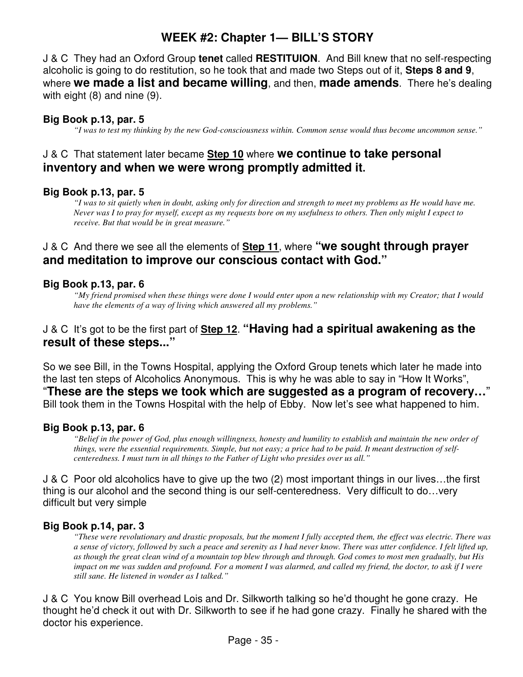J & C They had an Oxford Group **tenet** called **RESTITUION**. And Bill knew that no self-respecting alcoholic is going to do restitution, so he took that and made two Steps out of it, **Steps 8 and 9**, where **we made a list and became willing**, and then, **made amends**. There he's dealing with eight (8) and nine (9).

## **Big Book p.13, par. 5**

*"I was to test my thinking by the new God-consciousness within. Common sense would thus become uncommon sense."* 

## J & C That statement later became **Step 10** where **we continue to take personal inventory and when we were wrong promptly admitted it.**

## **Big Book p.13, par. 5**

*"I was to sit quietly when in doubt, asking only for direction and strength to meet my problems as He would have me. Never was I to pray for myself, except as my requests bore on my usefulness to others. Then only might I expect to receive. But that would be in great measure."* 

## J & C And there we see all the elements of **Step 11**, where **"we sought through prayer and meditation to improve our conscious contact with God."**

## **Big Book p.13, par. 6**

*"My friend promised when these things were done I would enter upon a new relationship with my Creator; that I would have the elements of a way of living which answered all my problems."* 

## J & C It's got to be the first part of **Step 12**. **"Having had a spiritual awakening as the result of these steps..."**

So we see Bill, in the Towns Hospital, applying the Oxford Group tenets which later he made into the last ten steps of Alcoholics Anonymous. This is why he was able to say in "How It Works", "**These are the steps we took which are suggested as a program of recovery…**" Bill took them in the Towns Hospital with the help of Ebby. Now let's see what happened to him.

## **Big Book p.13, par. 6**

*"Belief in the power of God, plus enough willingness, honesty and humility to establish and maintain the new order of things, were the essential requirements. Simple, but not easy; a price had to be paid. It meant destruction of selfcenteredness. I must turn in all things to the Father of Light who presides over us all."* 

J & C Poor old alcoholics have to give up the two (2) most important things in our lives…the first thing is our alcohol and the second thing is our self-centeredness. Very difficult to do…very difficult but very simple

## **Big Book p.14, par. 3**

*"These were revolutionary and drastic proposals, but the moment I fully accepted them, the effect was electric. There was a sense of victory, followed by such a peace and serenity as I had never know. There was utter confidence. I felt lifted up, as though the great clean wind of a mountain top blew through and through. God comes to most men gradually, but His impact on me was sudden and profound. For a moment I was alarmed, and called my friend, the doctor, to ask if I were still sane. He listened in wonder as I talked."* 

J & C You know Bill overhead Lois and Dr. Silkworth talking so he'd thought he gone crazy. He thought he'd check it out with Dr. Silkworth to see if he had gone crazy. Finally he shared with the doctor his experience.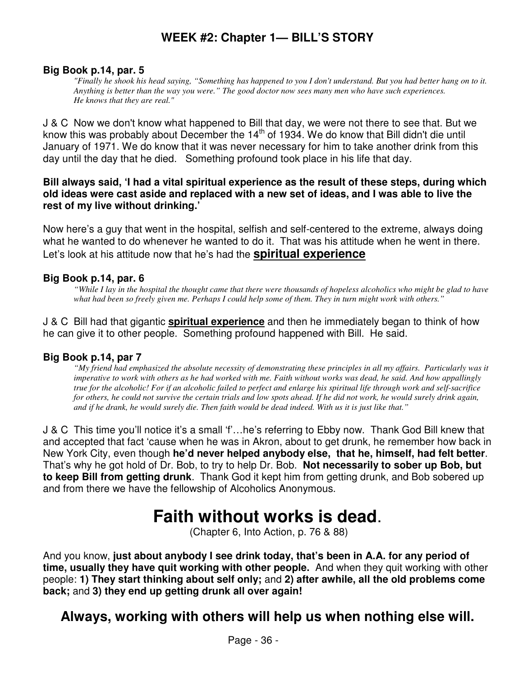#### **Big Book p.14, par. 5**

*"Finally he shook his head saying, "Something has happened to you I don't understand. But you had better hang on to it. Anything is better than the way you were." The good doctor now sees many men who have such experiences. He knows that they are real."* 

J & C Now we don't know what happened to Bill that day, we were not there to see that. But we know this was probably about December the  $14<sup>th</sup>$  of 1934. We do know that Bill didn't die until January of 1971. We do know that it was never necessary for him to take another drink from this day until the day that he died. Something profound took place in his life that day.

#### **Bill always said, 'I had a vital spiritual experience as the result of these steps, during which old ideas were cast aside and replaced with a new set of ideas, and I was able to live the rest of my live without drinking.'**

Now here's a guy that went in the hospital, selfish and self-centered to the extreme, always doing what he wanted to do whenever he wanted to do it. That was his attitude when he went in there. Let's look at his attitude now that he's had the **spiritual experience**

#### **Big Book p.14, par. 6**

*"While I lay in the hospital the thought came that there were thousands of hopeless alcoholics who might be glad to have what had been so freely given me. Perhaps I could help some of them. They in turn might work with others."* 

J & C Bill had that gigantic **spiritual experience** and then he immediately began to think of how he can give it to other people. Something profound happened with Bill. He said.

#### **Big Book p.14, par 7**

*"My friend had emphasized the absolute necessity of demonstrating these principles in all my affairs. Particularly was it imperative to work with others as he had worked with me. Faith without works was dead, he said. And how appallingly true for the alcoholic! For if an alcoholic failed to perfect and enlarge his spiritual life through work and self-sacrifice for others, he could not survive the certain trials and low spots ahead. If he did not work, he would surely drink again, and if he drank, he would surely die. Then faith would be dead indeed. With us it is just like that."* 

J & C This time you'll notice it's a small 'f'…he's referring to Ebby now. Thank God Bill knew that and accepted that fact 'cause when he was in Akron, about to get drunk, he remember how back in New York City, even though **he'd never helped anybody else, that he, himself, had felt better**. That's why he got hold of Dr. Bob, to try to help Dr. Bob. **Not necessarily to sober up Bob, but to keep Bill from getting drunk**. Thank God it kept him from getting drunk, and Bob sobered up and from there we have the fellowship of Alcoholics Anonymous.

# **Faith without works is dead**.

(Chapter 6, Into Action, p. 76 & 88)

And you know, **just about anybody I see drink today, that's been in A.A. for any period of time, usually they have quit working with other people.** And when they quit working with other people: **1) They start thinking about self only;** and **2) after awhile, all the old problems come back;** and **3) they end up getting drunk all over again!** 

## **Always, working with others will help us when nothing else will.**